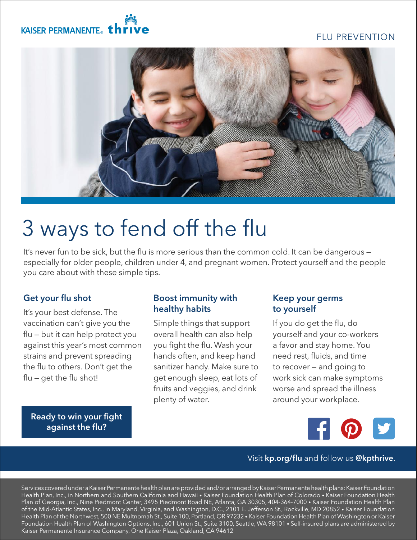## FLU PREVENTION

## KAISER PERMANENTE. th



# 3 ways to fend off the flu

It's never fun to be sick, but the flu is more serious than the common cold. It can be dangerous especially for older people, children under 4, and pregnant women. Protect yourself and the people you care about with these simple tips.

### Get your flu shot

It's your best defense. The vaccination can't give you the flu — but it can help protect you against this year's most common strains and prevent spreading the flu to others. Don't get the flu — get the flu shot!

#### Boost immunity with healthy habits

Simple things that support overall health can also help you fight the flu. Wash your hands often, and keep hand sanitizer handy. Make sure to get enough sleep, eat lots of fruits and veggies, and drink plenty of water.

#### Keep your germs to yourself

If you do get the flu, do yourself and your co-workers a favor and stay home. You need rest, fluids, and time to recover — and going to work sick can make symptoms worse and spread the illness around your workplace.



### Visit [kp.org/flu](http://kp.org/flu) and follow us @kpthrive.

Services covered under a Kaiser Permanente health plan are provided and/or arranged by Kaiser Permanente health plans: Kaiser Foundation Health Plan, Inc., in Northern and Southern California and Hawaii • Kaiser Foundation Health Plan of Colorado • Kaiser Foundation Health Plan of Georgia, Inc., Nine Piedmont Center, 3495 Piedmont Road NE, Atlanta, GA 30305, 404-364-7000 • Kaiser Foundation Health Plan of the Mid-Atlantic States, Inc., in Maryland, Virginia, and Washington, D.C., 2101 E. Jefferson St., Rockville, MD 20852 • Kaiser Foundation Health Plan of the Northwest, 500 NE Multnomah St., Suite 100, Portland, OR 97232 • Kaiser Foundation Health Plan of Washington or Kaiser Foundation Health Plan of Washington Options, Inc., 601 Union St., Suite 3100, Seattle, WA 98101 • Self-insured plans are administered by Kaiser Permanente Insurance Company, One Kaiser Plaza, Oakland, CA 94612

[Ready to win your fight](http://kp.org/flu)  against the flu?